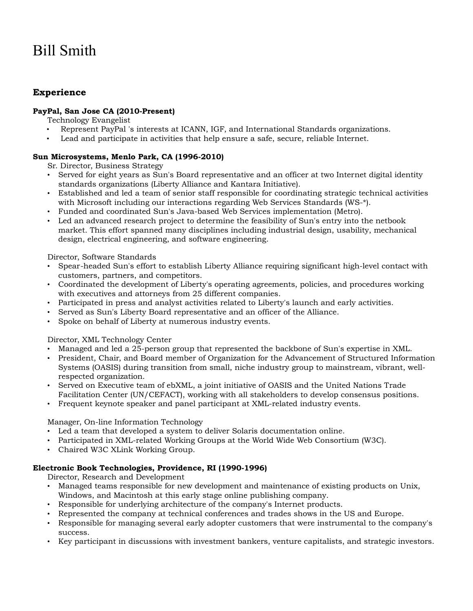# Bill Smith

# **Experience**

#### **PayPal, San Jose CA (2010-Present)**

Technology Evangelist

- Represent PayPal 's interests at ICANN, IGF, and International Standards organizations.
- Lead and participate in activities that help ensure a safe, secure, reliable Internet.

### **Sun Microsystems, Menlo Park, CA (1996-2010)**

Sr. Director, Business Strategy

- Served for eight years as Sun's Board representative and an officer at two Internet digital identity standards organizations (Liberty Alliance and Kantara Initiative).
- Established and led a team of senior staff responsible for coordinating strategic technical activities with Microsoft including our interactions regarding Web Services Standards (WS-\*).
- Funded and coordinated Sun's Java-based Web Services implementation (Metro).
- Led an advanced research project to determine the feasibility of Sun's entry into the netbook market. This effort spanned many disciplines including industrial design, usability, mechanical design, electrical engineering, and software engineering.

#### Director, Software Standards

- Spear-headed Sun's effort to establish Liberty Alliance requiring significant high-level contact with customers, partners, and competitors.
- Coordinated the development of Liberty's operating agreements, policies, and procedures working with executives and attorneys from 25 different companies.
- Participated in press and analyst activities related to Liberty's launch and early activities.
- Served as Sun's Liberty Board representative and an officer of the Alliance.
- Spoke on behalf of Liberty at numerous industry events.

#### Director, XML Technology Center

- Managed and led a 25-person group that represented the backbone of Sun's expertise in XML.
- President, Chair, and Board member of Organization for the Advancement of Structured Information Systems (OASIS) during transition from small, niche industry group to mainstream, vibrant, wellrespected organization.
- Served on Executive team of ebXML, a joint initiative of OASIS and the United Nations Trade Facilitation Center (UN/CEFACT), working with all stakeholders to develop consensus positions.
- Frequent keynote speaker and panel participant at XML-related industry events.

#### Manager, On-line Information Technology

- Led a team that developed a system to deliver Solaris documentation online.
- Participated in XML-related Working Groups at the World Wide Web Consortium (W3C).
- Chaired W3C XLink Working Group.

#### **Electronic Book Technologies, Providence, RI (1990-1996)**

Director, Research and Development

- Managed teams responsible for new development and maintenance of existing products on Unix, Windows, and Macintosh at this early stage online publishing company.
- Responsible for underlying architecture of the company's Internet products.
- Represented the company at technical conferences and trades shows in the US and Europe.
- Responsible for managing several early adopter customers that were instrumental to the company's success.
- Key participant in discussions with investment bankers, venture capitalists, and strategic investors.